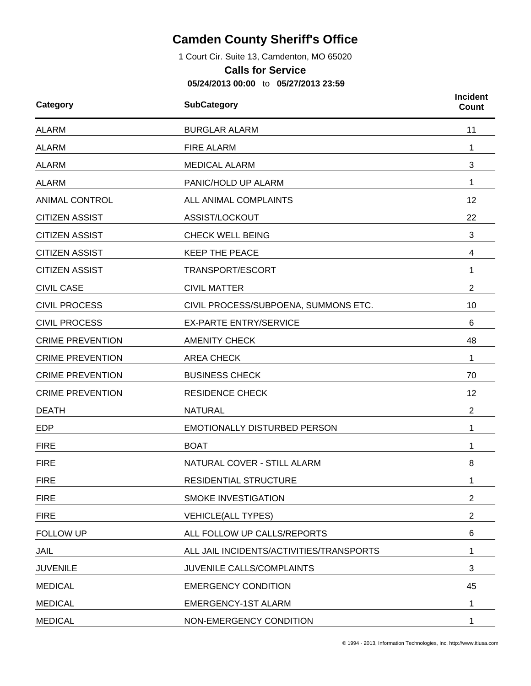## **Camden County Sheriff's Office**

1 Court Cir. Suite 13, Camdenton, MO 65020

## **Calls for Service**

**05/24/2013 00:00** to **05/27/2013 23:59**

| Category                             | <b>SubCategory</b>                       |                |  |  |
|--------------------------------------|------------------------------------------|----------------|--|--|
| <b>ALARM</b><br><b>BURGLAR ALARM</b> |                                          | 11             |  |  |
| <b>ALARM</b>                         | <b>FIRE ALARM</b>                        | 1              |  |  |
| <b>ALARM</b>                         | <b>MEDICAL ALARM</b>                     | 3              |  |  |
| <b>ALARM</b>                         | PANIC/HOLD UP ALARM                      | 1              |  |  |
| <b>ANIMAL CONTROL</b>                | ALL ANIMAL COMPLAINTS                    | 12             |  |  |
| <b>CITIZEN ASSIST</b>                | ASSIST/LOCKOUT                           | 22             |  |  |
| <b>CITIZEN ASSIST</b>                | <b>CHECK WELL BEING</b>                  | 3              |  |  |
| <b>CITIZEN ASSIST</b>                | <b>KEEP THE PEACE</b>                    | 4              |  |  |
| <b>CITIZEN ASSIST</b>                | TRANSPORT/ESCORT                         | 1              |  |  |
| <b>CIVIL CASE</b>                    | <b>CIVIL MATTER</b>                      | 2              |  |  |
| <b>CIVIL PROCESS</b>                 | CIVIL PROCESS/SUBPOENA, SUMMONS ETC.     | 10             |  |  |
| <b>CIVIL PROCESS</b>                 | <b>EX-PARTE ENTRY/SERVICE</b>            | 6              |  |  |
| <b>CRIME PREVENTION</b>              | <b>AMENITY CHECK</b>                     | 48             |  |  |
| <b>CRIME PREVENTION</b>              | <b>AREA CHECK</b>                        | 1              |  |  |
| <b>CRIME PREVENTION</b>              | <b>BUSINESS CHECK</b>                    | 70             |  |  |
| <b>CRIME PREVENTION</b>              | <b>RESIDENCE CHECK</b>                   | 12             |  |  |
| <b>DEATH</b>                         | <b>NATURAL</b>                           | $\overline{2}$ |  |  |
| <b>EDP</b>                           | <b>EMOTIONALLY DISTURBED PERSON</b>      | 1              |  |  |
| <b>FIRE</b>                          | <b>BOAT</b>                              | 1              |  |  |
| <b>FIRE</b>                          | NATURAL COVER - STILL ALARM              | 8              |  |  |
| <b>FIRE</b>                          | RESIDENTIAL STRUCTURE                    | 1              |  |  |
| <b>FIRE</b>                          | SMOKE INVESTIGATION                      | $\overline{2}$ |  |  |
| <b>FIRE</b>                          | <b>VEHICLE(ALL TYPES)</b>                | $\overline{2}$ |  |  |
| <b>FOLLOW UP</b>                     | ALL FOLLOW UP CALLS/REPORTS              | 6              |  |  |
| JAIL                                 | ALL JAIL INCIDENTS/ACTIVITIES/TRANSPORTS | 1              |  |  |
| <b>JUVENILE</b>                      | JUVENILE CALLS/COMPLAINTS                | 3              |  |  |
| <b>MEDICAL</b>                       | <b>EMERGENCY CONDITION</b>               | 45             |  |  |
| <b>MEDICAL</b>                       | <b>EMERGENCY-1ST ALARM</b>               | 1              |  |  |
| <b>MEDICAL</b>                       | NON-EMERGENCY CONDITION                  | 1              |  |  |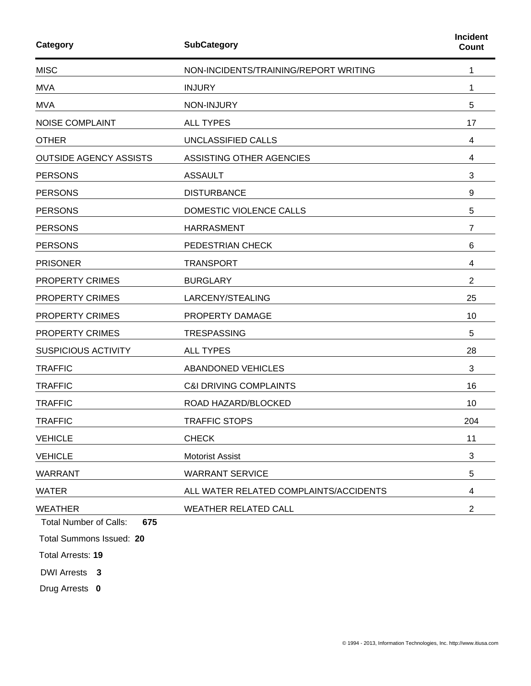| Category                                               | Incident<br><b>Count</b>               |                |
|--------------------------------------------------------|----------------------------------------|----------------|
| <b>MISC</b>                                            | NON-INCIDENTS/TRAINING/REPORT WRITING  | 1              |
| <b>MVA</b>                                             | <b>INJURY</b>                          | 1              |
| <b>MVA</b>                                             | NON-INJURY                             | 5              |
| <b>NOISE COMPLAINT</b>                                 | <b>ALL TYPES</b>                       | 17             |
| <b>OTHER</b>                                           | UNCLASSIFIED CALLS                     | 4              |
| <b>OUTSIDE AGENCY ASSISTS</b>                          | ASSISTING OTHER AGENCIES               | 4              |
| <b>PERSONS</b>                                         | <b>ASSAULT</b>                         | 3              |
| <b>PERSONS</b>                                         | <b>DISTURBANCE</b>                     | 9              |
| <b>PERSONS</b>                                         | DOMESTIC VIOLENCE CALLS                | 5              |
| <b>PERSONS</b>                                         | <b>HARRASMENT</b>                      | 7              |
| <b>PERSONS</b>                                         | PEDESTRIAN CHECK                       | 6              |
| <b>PRISONER</b>                                        | <b>TRANSPORT</b>                       | 4              |
| <b>PROPERTY CRIMES</b>                                 | <b>BURGLARY</b>                        | $\overline{2}$ |
| PROPERTY CRIMES                                        | LARCENY/STEALING                       | 25             |
| PROPERTY CRIMES                                        | PROPERTY DAMAGE                        | 10             |
| PROPERTY CRIMES                                        | <b>TRESPASSING</b>                     | 5              |
| <b>SUSPICIOUS ACTIVITY</b>                             | <b>ALL TYPES</b>                       | 28             |
| <b>TRAFFIC</b>                                         | <b>ABANDONED VEHICLES</b>              | 3              |
| <b>TRAFFIC</b>                                         | <b>C&amp;I DRIVING COMPLAINTS</b>      | 16             |
| <b>TRAFFIC</b>                                         | ROAD HAZARD/BLOCKED                    | 10             |
| <b>TRAFFIC</b>                                         | <b>TRAFFIC STOPS</b>                   | 204            |
| <b>VEHICLE</b>                                         | <b>CHECK</b>                           | 11             |
| <b>VEHICLE</b>                                         | <b>Motorist Assist</b>                 | 3              |
| <b>WARRANT</b>                                         | <b>WARRANT SERVICE</b>                 | 5              |
| <b>WATER</b>                                           | ALL WATER RELATED COMPLAINTS/ACCIDENTS | 4              |
| <b>WEATHER</b><br><b>Total Number of Calls:</b><br>675 | <b>WEATHER RELATED CALL</b>            | $\overline{2}$ |

Total Summons Issued: **20**

Total Arrests: **19**

DWI Arrests **3**

Drug Arrests **0**